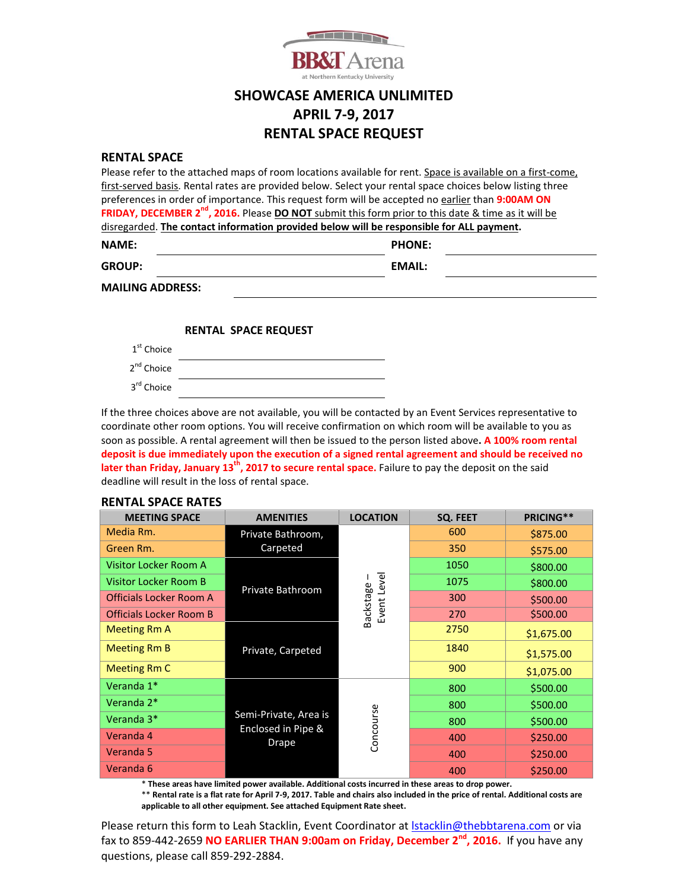

## **SHOWCASE AMERICA UNLIMITED APRIL 7-9, 2017 RENTAL SPACE REQUEST**

#### **RENTAL SPACE**

| Please refer to the attached maps of room locations available for rent. Space is available on a first-come,     |               |  |  |  |  |  |  |
|-----------------------------------------------------------------------------------------------------------------|---------------|--|--|--|--|--|--|
| first-served basis. Rental rates are provided below. Select your rental space choices below listing three       |               |  |  |  |  |  |  |
| preferences in order of importance. This request form will be accepted no earlier than 9:00AM ON                |               |  |  |  |  |  |  |
| FRIDAY, DECEMBER 2 <sup>nd</sup> , 2016. Please DO NOT submit this form prior to this date & time as it will be |               |  |  |  |  |  |  |
| disregarded. The contact information provided below will be responsible for ALL payment.                        |               |  |  |  |  |  |  |
| <b>NAME:</b>                                                                                                    | <b>PHONE:</b> |  |  |  |  |  |  |
| <b>GROUP:</b>                                                                                                   | <b>EMAIL:</b> |  |  |  |  |  |  |
| <b>MAILING ADDRESS:</b>                                                                                         |               |  |  |  |  |  |  |
|                                                                                                                 |               |  |  |  |  |  |  |

#### **RENTAL SPACE REQUEST**

| 1 <sup>st</sup> Choice |  |
|------------------------|--|
| 2 <sup>nd</sup> Choice |  |
| 3 <sup>rd</sup> Choice |  |

If the three choices above are not available, you will be contacted by an Event Services representative to coordinate other room options. You will receive confirmation on which room will be available to you as soon as possible. A rental agreement will then be issued to the person listed above**. A 100% room rental deposit is due immediately upon the execution of a signed rental agreement and should be received no later than Friday, January 13th, 2017 to secure rental space.** Failure to pay the deposit on the said deadline will result in the loss of rental space.

### **RENTAL SPACE RATES**

| <b>MEETING SPACE</b>           | <b>AMENITIES</b>                                     | <b>LOCATION</b>          | SQ. FEET | PRICING**  |
|--------------------------------|------------------------------------------------------|--------------------------|----------|------------|
| Media Rm.                      | Private Bathroom,<br>Carpeted                        |                          | 600      | \$875.00   |
| Green Rm.                      |                                                      |                          | 350      | \$575.00   |
| Visitor Locker Room A          | Private Bathroom                                     | Event Level<br>Backstage | 1050     | \$800.00   |
| <b>Visitor Locker Room B</b>   |                                                      |                          | 1075     | \$800.00   |
| <b>Officials Locker Room A</b> |                                                      |                          | 300      | \$500.00   |
| <b>Officials Locker Room B</b> |                                                      |                          | 270      | \$500.00   |
| Meeting Rm A                   | Private, Carpeted                                    |                          | 2750     | \$1,675.00 |
| Meeting Rm B                   |                                                      |                          | 1840     | \$1,575.00 |
| <b>Meeting Rm C</b>            |                                                      |                          | 900      | \$1,075.00 |
| Veranda 1*                     | Semi-Private, Area is<br>Enclosed in Pipe &<br>Drape | Concourse                | 800      | \$500.00   |
| Veranda 2*                     |                                                      |                          | 800      | \$500.00   |
| Veranda 3*                     |                                                      |                          | 800      | \$500.00   |
| Veranda 4                      |                                                      |                          | 400      | \$250.00   |
| Veranda 5                      |                                                      |                          | 400      | \$250.00   |
| Veranda 6                      |                                                      |                          | 400      | \$250.00   |

\* **These areas have limited power available. Additional costs incurred in these areas to drop power.**

\*\* **Rental rate is a flat rate for April 7-9, 2017. Table and chairs also included in the price of rental. Additional costs are applicable to all other equipment. See attached Equipment Rate sheet.**

Please return this form to Leah Stacklin, Event Coordinator at Istacklin@thebbtarena.com or via fax to 859-442-2659 **NO EARLIER THAN 9:00am on Friday, December 2<sup>nd</sup>, 2016.** If you have any questions, please call 859-292-2884.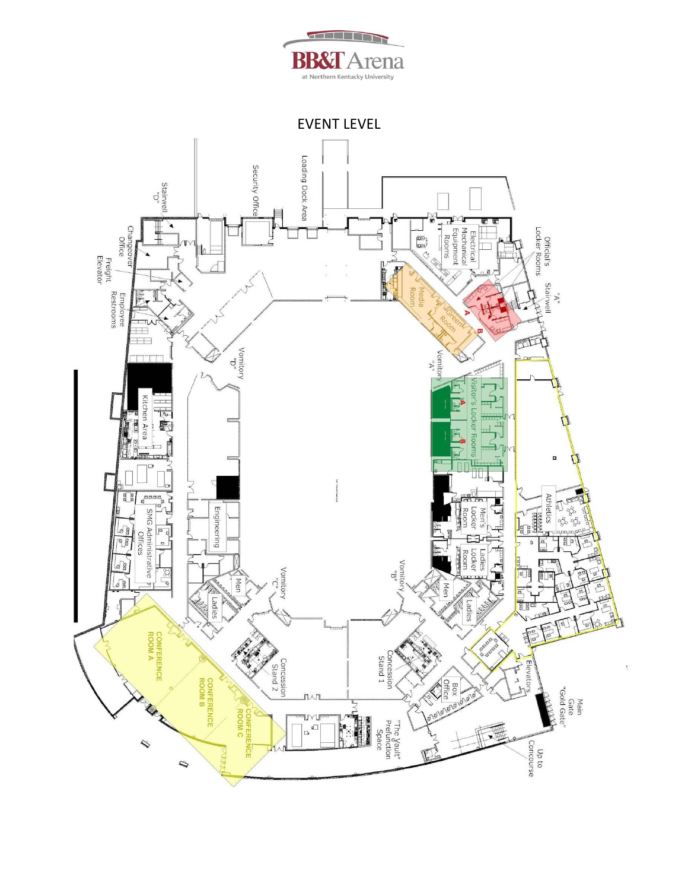

EVENT LEVEL

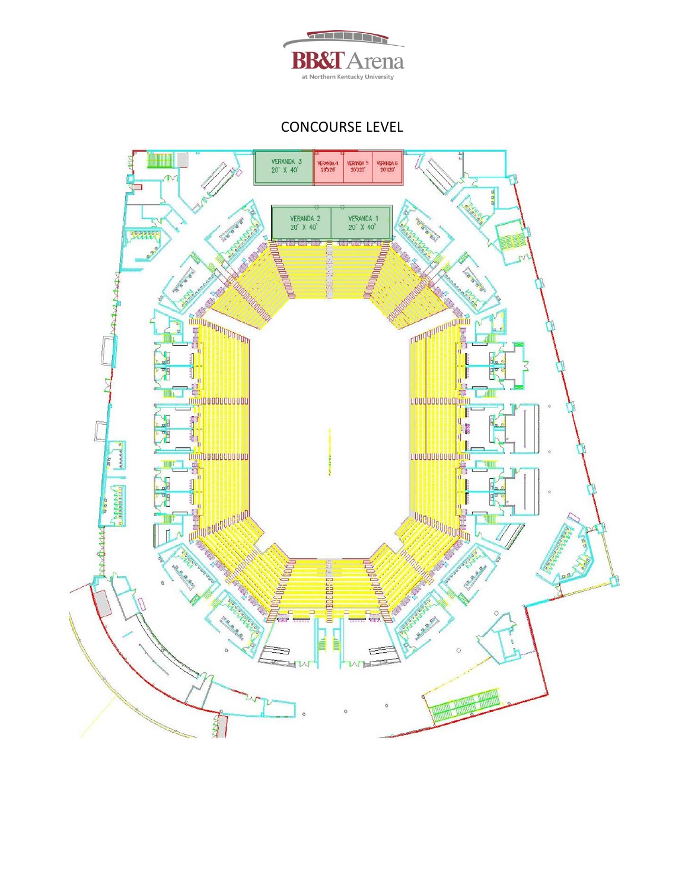

CONCOURSE LEVEL

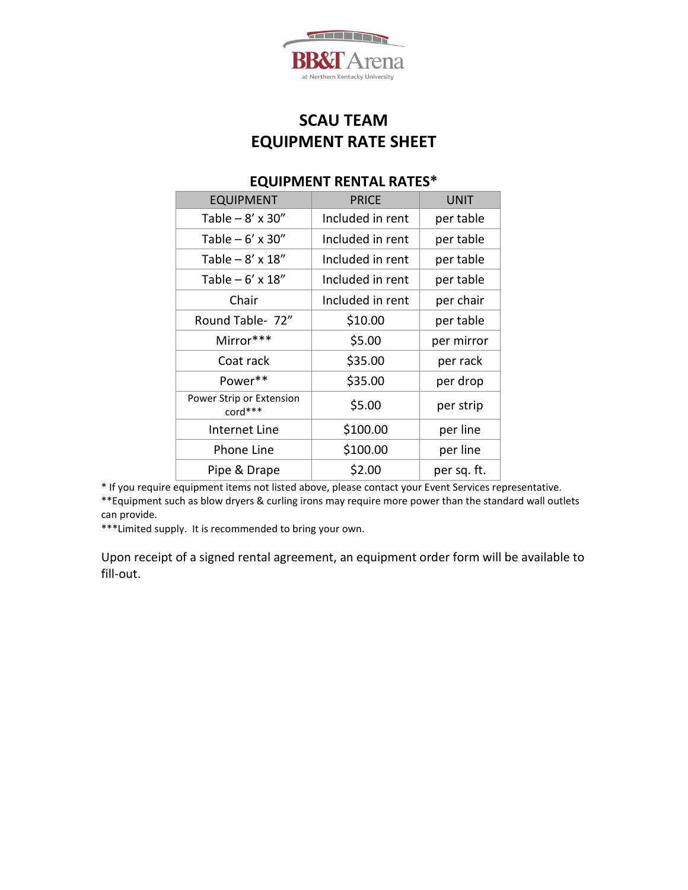

# **SCAU TEAM EQUIPMENT RATE SHEET**

## EQUIPMENT | PRICE | UNIT Table – 8' x 30" | Included in rent | per table Table – 6' x 30" | Included in rent | per table Table – 8' x 18" | Included in rent | per table Table – 6' x 18" | Included in rent | per table Chair  $\vert$  Included in rent  $\vert$  per chair Round Table-  $72''$   $\vert$   $\frac{10.00}{10.00}$  per table Mirror\*\*\* | \$5.00 per mirror Coat rack | \$35.00 per rack Power\*\*  $\vert$  \$35.00  $\vert$  per drop Power Strip or Extension  $\left\{\n \begin{array}{ccc}\n \text{cord}^{***} & \text{S5.00} \\
\text{cord}^{***}\n \end{array}\n \right.\n \left.\n \right.$ Internet Line | \$100.00 | per line Phone Line  $\uparrow$  \$100.00 per line Pipe & Drape  $\begin{array}{|c|c|c|c|c|} \hline \text{Pipe & \text{B} Drape} & \text{S2.00} & \text{per sq. ft.} \hline \end{array}$

### **EQUIPMENT RENTAL RATES\***

\* If you require equipment items not listed above, please contact your Event Services representative. \*\*Equipment such as blow dryers & curling irons may require more power than the standard wall outlets can provide.

\*\*\*Limited supply. It is recommended to bring your own.

Upon receipt of a signed rental agreement, an equipment order form will be available to fill-out.